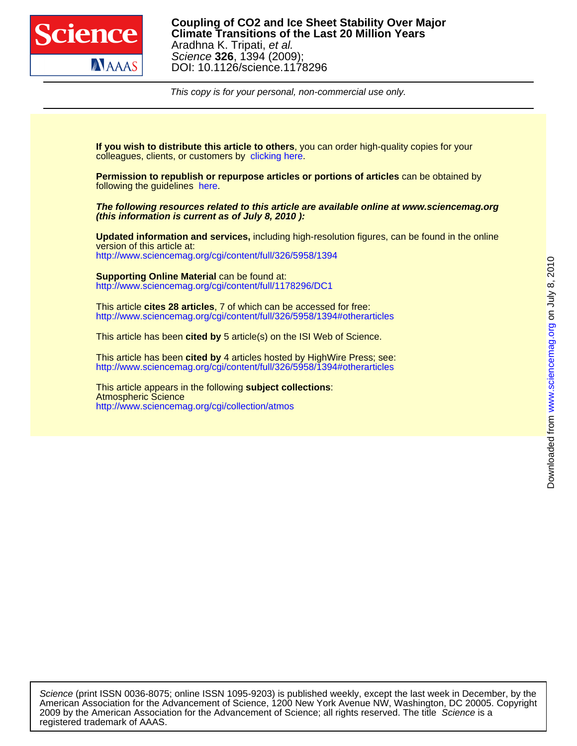

DOI: 10.1126/science.1178296 Science **326**, 1394 (2009); Aradhna K. Tripati, et al. **Climate Transitions of the Last 20 Million Years Coupling of CO2 and Ice Sheet Stability Over Major**

This copy is for your personal, non-commercial use only.

colleagues, clients, or customers by [clicking here.](http://www.sciencemag.org/about/permissions.dtl) **If you wish to distribute this article to others**, you can order high-quality copies for your

following the guidelines [here.](http://www.sciencemag.org/help/about/permissions.dtl) **Permission to republish or repurpose articles or portions of articles** can be obtained by

**(this information is current as of July 8, 2010 ): The following resources related to this article are available online at www.sciencemag.org**

<http://www.sciencemag.org/cgi/content/full/326/5958/1394> version of this article at: **Updated information and services,** including high-resolution figures, can be found in the online

<http://www.sciencemag.org/cgi/content/full/1178296/DC1> **Supporting Online Material** can be found at:

<http://www.sciencemag.org/cgi/content/full/326/5958/1394#otherarticles> This article **cites 28 articles**, 7 of which can be accessed for free:

This article has been **cited by** 5 article(s) on the ISI Web of Science.

<http://www.sciencemag.org/cgi/content/full/326/5958/1394#otherarticles> This article has been **cited by** 4 articles hosted by HighWire Press; see:

<http://www.sciencemag.org/cgi/collection/atmos> Atmospheric Science This article appears in the following **subject collections**:

registered trademark of AAAS. 2009 by the American Association for the Advancement of Science; all rights reserved. The title Science is a American Association for the Advancement of Science, 1200 New York Avenue NW, Washington, DC 20005. Copyright Science (print ISSN 0036-8075; online ISSN 1095-9203) is published weekly, except the last week in December, by the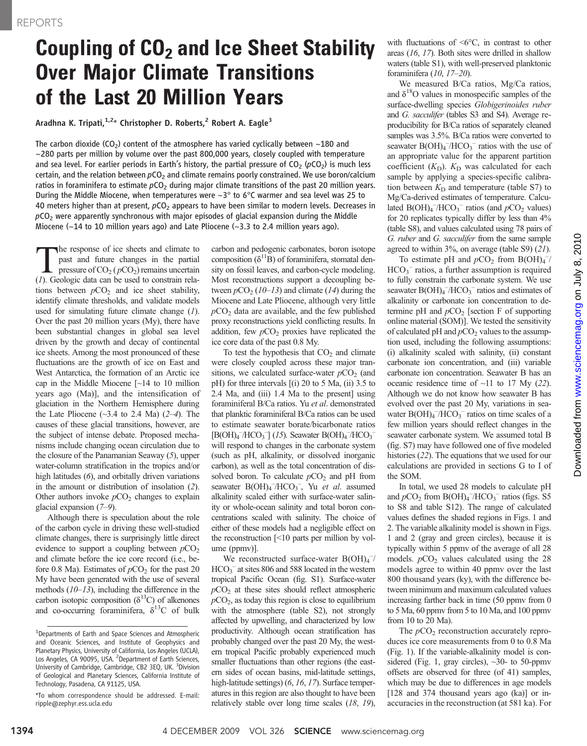## Coupling of  $CO<sub>2</sub>$  and Ice Sheet Stability Over Major Climate Transitions of the Last 20 Million Years

Aradhna K. Tripati, $1.2*$  Christopher D. Roberts,<sup>2</sup> Robert A. Eagle<sup>3</sup>

The carbon dioxide (CO<sub>2</sub>) content of the atmosphere has varied cyclically between  $\sim$ 180 and  $\sim$ 280 parts per million by volume over the past 800,000 years, closely coupled with temperature and sea level. For earlier periods in Earth's history, the partial pressure of  $CO<sub>2</sub>$  (pCO<sub>2</sub>) is much less certain, and the relation between  $pCO<sub>2</sub>$  and climate remains poorly constrained. We use boron/calcium ratios in foraminifera to estimate  $pCO<sub>2</sub>$  during major climate transitions of the past 20 million years. During the Middle Miocene, when temperatures were  $\sim 3^{\circ}$  to 6 $^{\circ}$ C warmer and sea level was 25 to 40 meters higher than at present,  $pCO<sub>2</sub>$  appears to have been similar to modern levels. Decreases in  $pCO<sub>2</sub>$  were apparently synchronous with major episodes of glacial expansion during the Middle Miocene (~14 to 10 million years ago) and Late Pliocene (~3.3 to 2.4 million years ago).

The response of ice sheets and climate to<br>past and future changes in the partial<br>pressure of  $CO_2(pCO_2)$  remains uncertain<br>(1) Geologic data can be used to constrain relapast and future changes in the partial pressure of  $CO<sub>2</sub>$  ( $pCO<sub>2</sub>$ ) remains uncertain (1). Geologic data can be used to constrain relations between  $pCO<sub>2</sub>$  and ice sheet stability, identify climate thresholds, and validate models used for simulating future climate change  $(1)$ . Over the past 20 million years (My), there have been substantial changes in global sea level driven by the growth and decay of continental ice sheets. Among the most pronounced of these fluctuations are the growth of ice on East and West Antarctica, the formation of an Arctic ice cap in the Middle Miocene [~14 to 10 million years ago (Ma)], and the intensification of glaciation in the Northern Hemisphere during the Late Pliocene  $(\sim 3.4$  to 2.4 Ma)  $(2-4)$ . The causes of these glacial transitions, however, are the subject of intense debate. Proposed mechanisms include changing ocean circulation due to the closure of the Panamanian Seaway (5), upper water-column stratification in the tropics and/or high latitudes (6), and orbitally driven variations in the amount or distribution of insolation (2). Other authors invoke  $pCO<sub>2</sub>$  changes to explain glacial expansion (7–9).

Although there is speculation about the role of the carbon cycle in driving these well-studied climate changes, there is surprisingly little direct evidence to support a coupling between  $pCO<sub>2</sub>$ and climate before the ice core record (i.e., before 0.8 Ma). Estimates of  $pCO<sub>2</sub>$  for the past 20 My have been generated with the use of several methods  $(10-13)$ , including the difference in the carbon isotopic composition  $(\delta^{13}C)$  of alkenones and co-occurring foraminifera,  $\delta^{13}$ C of bulk carbon and pedogenic carbonates, boron isotope composition  $(\delta^{11}B)$  of foraminifera, stomatal density on fossil leaves, and carbon-cycle modeling. Most reconstructions support a decoupling between  $pCO_2$  (10–13) and climate (14) during the Miocene and Late Pliocene, although very little  $pCO<sub>2</sub>$  data are available, and the few published proxy reconstructions yield conflicting results. In addition, few  $pCO<sub>2</sub>$  proxies have replicated the ice core data of the past 0.8 My.

To test the hypothesis that  $CO<sub>2</sub>$  and climate were closely coupled across these major transitions, we calculated surface-water  $pCO<sub>2</sub>$  (and pH) for three intervals  $[(i) 20$  to 5 Ma,  $(ii) 3.5$  to 2.4 Ma, and (iii) 1.4 Ma to the present] using foraminiferal B/Ca ratios. Yu et al. demonstrated that planktic foraminiferal B/Ca ratios can be used to estimate seawater borate/bicarbonate ratios  $[B(OH)_4^-/HCO_3^-]$  (15). Seawater  $B(OH)_4^-/HCO_3^$ will respond to changes in the carbonate system (such as pH, alkalinity, or dissolved inorganic carbon), as well as the total concentration of dissolved boron. To calculate  $pCO<sub>2</sub>$  and pH from seawater  $B(OH)_4^-/HCO_3^-$ , Yu et al. assumed alkalinity scaled either with surface-water salinity or whole-ocean salinity and total boron concentrations scaled with salinity. The choice of either of these models had a negligible effect on the reconstruction [<10 parts per million by volume (ppmv)].

We reconstructed surface-water  $B(OH)_4$ <sup>-/</sup>  $HCO<sub>3</sub><sup>-</sup>$  at sites 806 and 588 located in the western tropical Pacific Ocean (fig. S1). Surface-water  $pCO<sub>2</sub>$  at these sites should reflect atmospheric  $pCO<sub>2</sub>$ , as today this region is close to equilibrium with the atmosphere (table S2), not strongly affected by upwelling, and characterized by low productivity. Although ocean stratification has probably changed over the past 20 My, the western tropical Pacific probably experienced much smaller fluctuations than other regions (the eastern sides of ocean basins, mid-latitude settings, high-latitude settings) (6, 16, 17). Surface temperatures in this region are also thought to have been relatively stable over long time scales (18, 19),

with fluctuations of  $\leq 6^{\circ}C$ , in contrast to other areas (16, 17). Both sites were drilled in shallow waters (table S1), with well-preserved planktonic foraminifera (10, 17–20).

We measured B/Ca ratios, Mg/Ca ratios, and  $\delta^{18}$ O values in monospecific samples of the surface-dwelling species Globigerinoides ruber and G. sacculifer (tables S3 and S4). Average reproducibility for B/Ca ratios of separately cleaned samples was 3.5%. B/Ca ratios were converted to seawater  $B(OH)_4$ <sup>-</sup>/HCO<sub>3</sub><sup>-</sup> ratios with the use of an appropriate value for the apparent partition coefficient  $(K_D)$ .  $K_D$  was calculated for each sample by applying a species-specific calibration between  $K<sub>D</sub>$  and temperature (table S7) to Mg/Ca-derived estimates of temperature. Calculated  $B(OH)_4^-/HCO_3^-$  ratios (and  $pCO_2$  values) for 20 replicates typically differ by less than 4% (table S8), and values calculated using 78 pairs of G. ruber and G. sacculifer from the same sample agreed to within 3%, on average (table S9) (21).

To estimate pH and  $pCO_2$  from B(OH)<sub>4</sub><sup>-/</sup> HCO<sub>3</sub><sup>-</sup> ratios, a further assumption is required to fully constrain the carbonate system. We use seawater  $B(OH)_4^-/HCO_3^-$  ratios and estimates of alkalinity or carbonate ion concentration to determine pH and  $pCO<sub>2</sub>$  [section F of supporting online material (SOM)]. We tested the sensitivity of calculated pH and  $pCO<sub>2</sub>$  values to the assumption used, including the following assumptions: (i) alkalinity scaled with salinity, (ii) constant carbonate ion concentration, and (iii) variable carbonate ion concentration. Seawater B has an oceanic residence time of  $\sim$ 11 to 17 My (22). Although we do not know how seawater B has evolved over the past 20 My, variations in seawater  $B(OH)_4^-/HCO_3^-$  ratios on time scales of a few million years should reflect changes in the seawater carbonate system. We assumed total B (fig. S7) may have followed one of five modeled histories (22). The equations that we used for our calculations are provided in sections G to I of the SOM.

In total, we used 28 models to calculate pH and  $pCO_2$  from  $B(OH)_4^-/HCO_3^-$  ratios (figs. S5 to S8 and table S12). The range of calculated values defines the shaded regions in Figs. 1 and 2. The variable alkalinity model is shown in Figs. 1 and 2 (gray and green circles), because it is typically within 5 ppmv of the average of all 28 models.  $pCO<sub>2</sub>$  values calculated using the 28 models agree to within 40 ppmv over the last 800 thousand years (ky), with the difference between minimum and maximum calculated values increasing farther back in time (50 ppmv from 0 to 5 Ma, 60 ppmv from 5 to 10 Ma, and 100 ppmv from 10 to 20 Ma).

The  $pCO<sub>2</sub>$  reconstruction accurately reproduces ice core measurements from 0 to 0.8 Ma (Fig. 1). If the variable-alkalinity model is considered (Fig. 1, gray circles),  $\sim$ 30- to 50-ppmv offsets are observed for three (of 41) samples, which may be due to differences in age models [128 and 374 thousand years ago (ka)] or inaccuracies in the reconstruction (at 581 ka). For

<sup>&</sup>lt;sup>1</sup>Departments of Earth and Space Sciences and Atmospheric and Oceanic Sciences, and Institute of Geophysics and Planetary Physics, University of California, Los Angeles (UCLA), Los Angeles, CA 90095, USA. <sup>2</sup> Department of Earth Sciences, University of Cambridge, Cambridge, CB2 3EQ, UK. <sup>3</sup>Division of Geological and Planetary Sciences, California Institute of Technology, Pasadena, CA 91125, USA.

<sup>\*</sup>To whom correspondence should be addressed. E-mail: ripple@zephyr.ess.ucla.edu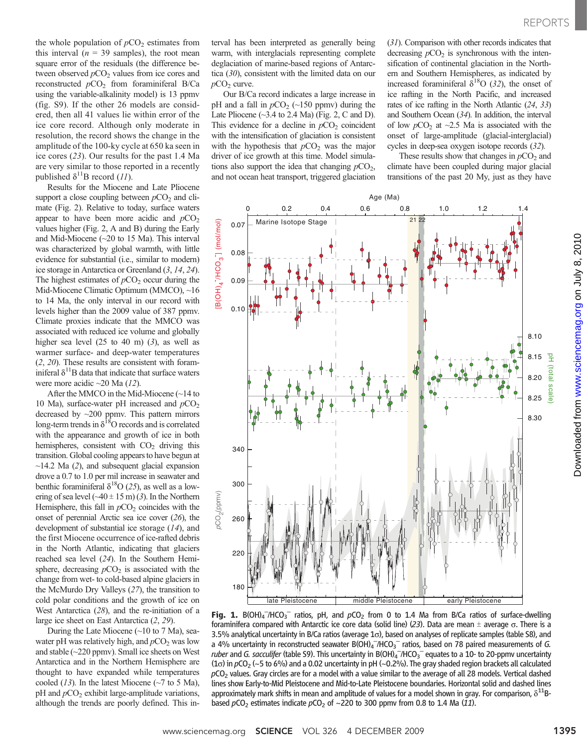the whole population of  $pCO<sub>2</sub>$  estimates from this interval ( $n = 39$  samples), the root mean square error of the residuals (the difference between observed  $pCO<sub>2</sub>$  values from ice cores and reconstructed  $pCO<sub>2</sub>$  from foraminiferal B/Ca using the variable-alkalinity model) is 13 ppmv (fig. S9). If the other 26 models are considered, then all 41 values lie within error of the ice core record. Although only moderate in resolution, the record shows the change in the amplitude of the 100-ky cycle at 650 ka seen in ice cores (23). Our results for the past 1.4 Ma are very similar to those reported in a recently published  $\delta^{11}$ B record (11).

Results for the Miocene and Late Pliocene support a close coupling between  $pCO<sub>2</sub>$  and climate (Fig. 2). Relative to today, surface waters appear to have been more acidic and  $pCO<sub>2</sub>$ values higher (Fig. 2, A and B) during the Early and Mid-Miocene (~20 to 15 Ma). This interval was characterized by global warmth, with little evidence for substantial (i.e., similar to modern) ice storage in Antarctica or Greenland (3, 14, 24). The highest estimates of  $pCO<sub>2</sub>$  occur during the Mid-Miocene Climatic Optimum (MMCO), ~16 to 14 Ma, the only interval in our record with levels higher than the 2009 value of 387 ppmv. Climate proxies indicate that the MMCO was associated with reduced ice volume and globally higher sea level  $(25 \text{ to } 40 \text{ m})$   $(3)$ , as well as warmer surface- and deep-water temperatures (2, 20). These results are consistent with foraminiferal  $\delta^{11}$ B data that indicate that surface waters were more acidic ~20 Ma (12).

After the MMCO in the Mid-Miocene (~14 to 10 Ma), surface-water pH increased and  $pCO<sub>2</sub>$ decreased by ~200 ppmv. This pattern mirrors long-term trends in  $\delta^{18}$ O records and is correlated with the appearance and growth of ice in both hemispheres, consistent with  $CO<sub>2</sub>$  driving this transition. Global cooling appears to have begun at  $\sim$ 14.2 Ma (2), and subsequent glacial expansion drove a 0.7 to 1.0 per mil increase in seawater and benthic foraminiferal  $\delta^{18}O(25)$ , as well as a lowering of sea level  $(\sim40 \pm 15 \text{ m})$  (3). In the Northern Hemisphere, this fall in  $pCO<sub>2</sub>$  coincides with the onset of perennial Arctic sea ice cover (26), the development of substantial ice storage (14), and the first Miocene occurrence of ice-rafted debris in the North Atlantic, indicating that glaciers reached sea level (24). In the Southern Hemisphere, decreasing  $pCO<sub>2</sub>$  is associated with the change from wet- to cold-based alpine glaciers in the McMurdo Dry Valleys (27), the transition to cold polar conditions and the growth of ice on West Antarctica (28), and the re-initiation of a large ice sheet on East Antarctica (2, 29).

During the Late Miocene (~10 to 7 Ma), seawater pH was relatively high, and  $pCO<sub>2</sub>$  was low and stable (~220 ppmv). Small ice sheets on West Antarctica and in the Northern Hemisphere are thought to have expanded while temperatures cooled (13). In the latest Miocene ( $\sim$ 7 to 5 Ma), pH and  $pCO<sub>2</sub>$  exhibit large-amplitude variations, although the trends are poorly defined. This interval has been interpreted as generally being warm, with interglacials representing complete deglaciation of marine-based regions of Antarctica (30), consistent with the limited data on our  $pCO<sub>2</sub>$  curve.

Our B/Ca record indicates a large increase in pH and a fall in  $pCO<sub>2</sub>$  (~150 ppmv) during the Late Pliocene  $(\sim]3.4$  to 2.4 Ma) (Fig. 2, C and D). This evidence for a decline in  $pCO<sub>2</sub>$  coincident with the intensification of glaciation is consistent with the hypothesis that  $pCO<sub>2</sub>$  was the major driver of ice growth at this time. Model simulations also support the idea that changing  $pCO<sub>2</sub>$ , and not ocean heat transport, triggered glaciation

(31). Comparison with other records indicates that decreasing  $pCO<sub>2</sub>$  is synchronous with the intensification of continental glaciation in the Northern and Southern Hemispheres, as indicated by increased foraminiferal  $\delta^{18}O(32)$ , the onset of ice rafting in the North Pacific, and increased rates of ice rafting in the North Atlantic (24, 33) and Southern Ocean (34). In addition, the interval of low  $pCO<sub>2</sub>$  at ~2.5 Ma is associated with the onset of large-amplitude (glacial-interglacial) cycles in deep-sea oxygen isotope records (32).

These results show that changes in  $pCO<sub>2</sub>$  and climate have been coupled during major glacial transitions of the past 20 My, just as they have



**Fig. 1.** B(OH)<sub>4</sub><sup>-</sup>/HCO<sub>3</sub><sup>-</sup> ratios, pH, and  $pCO_2$  from 0 to 1.4 Ma from B/Ca ratios of surface-dwelling foraminifera compared with Antarctic ice core data (solid line) (23) Data are mean + average  $\sigma$ . There is a foraminifera compared with Antarctic ice core data (solid line) (23). Data are mean  $\pm$  average  $\sigma$ . There is a 3.5% analytical uncertainty in B/Ca ratios (average 1o), based on analyses of replicate samples (table S8), and a 4% uncertainty in reconstructed seawater  $B(OH)_4$ <sup>-</sup>/HCO<sub>3</sub><sup>-</sup> ratios, based on 78 paired measurements of G. ruber and G. sacculifer (table S9). This uncertainty in B(OH)<sub>4</sub><sup>-</sup>/HCO<sub>3</sub><sup>-</sup> equates to a 10- to 20-ppmv uncertainty (1 $\sigma$ ) in  $pCO_2$  (~5 to 6%) and a 0.02 uncertainty in pH (~0.2%). The gray shaded region brackets all calculated  $pCO<sub>2</sub>$  values. Gray circles are for a model with a value similar to the average of all 28 models. Vertical dashed lines show Early-to-Mid Pleistocene and Mid-to-Late Pleistocene boundaries. Horizontal solid and dashed lines approximately mark shifts in mean and amplitude of values for a model shown in gray. For comparison,  $\delta^{11}$ Bbased  $pCO<sub>2</sub>$  estimates indicate  $pCO<sub>2</sub>$  of ~220 to 300 ppmv from 0.8 to 1.4 Ma (11).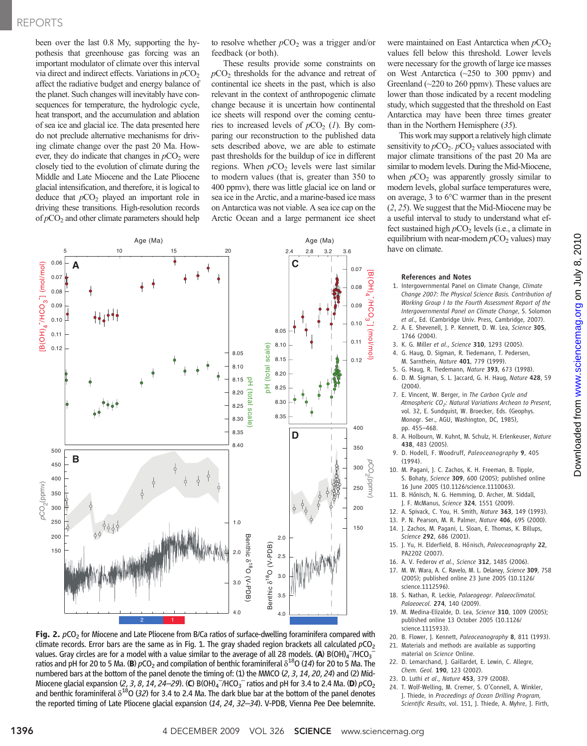### REPORTS

been over the last 0.8 My, supporting the hypothesis that greenhouse gas forcing was an important modulator of climate over this interval via direct and indirect effects. Variations in  $pCO<sub>2</sub>$ affect the radiative budget and energy balance of the planet. Such changes will inevitably have consequences for temperature, the hydrologic cycle, heat transport, and the accumulation and ablation of sea ice and glacial ice. The data presented here do not preclude alternative mechanisms for driving climate change over the past 20 Ma. However, they do indicate that changes in  $pCO<sub>2</sub>$  were closely tied to the evolution of climate during the Middle and Late Miocene and the Late Pliocene glacial intensification, and therefore, it is logical to deduce that  $pCO<sub>2</sub>$  played an important role in driving these transitions. High-resolution records of  $pCO<sub>2</sub>$  and other climate parameters should help

to resolve whether  $pCO<sub>2</sub>$  was a trigger and/or feedback (or both).

These results provide some constraints on  $pCO<sub>2</sub>$  thresholds for the advance and retreat of continental ice sheets in the past, which is also relevant in the context of anthropogenic climate change because it is uncertain how continental ice sheets will respond over the coming centuries to increased levels of  $pCO<sub>2</sub>$  (1). By comparing our reconstruction to the published data sets described above, we are able to estimate past thresholds for the buildup of ice in different regions. When  $pCO<sub>2</sub>$  levels were last similar to modern values (that is, greater than 350 to 400 ppmv), there was little glacial ice on land or sea ice in the Arctic, and a marine-based ice mass on Antarctica was not viable. A sea ice cap on the Arctic Ocean and a large permanent ice sheet



Fig. 2.  $pCO<sub>2</sub>$  for Miocene and Late Pliocene from B/Ca ratios of surface-dwelling foraminifera compared with climate records. Error bars are the same as in Fig. 1. The gray shaded region brackets all calculated  $pCO<sub>2</sub>$ values. Gray circles are for a model with a value similar to the average of all 28 models. (A) B(OH)<sub>4</sub><sup>-</sup>/HCO<sub>3</sub><sup>-</sup><br>ratios and nH for 20 to 5 Ma. (B) *nC*O<sub>2</sub> and compilation of benthic foraminiferal  $\delta^{18}$ O (14) for 2 ratios and pH for 20 to 5 Ma. (B)  $pCO<sub>2</sub>$  and compilation of benthic foraminiferal  $\delta^{18}$ O (14) for 20 to 5 Ma. The numbered bars at the bottom of the panel denote the timing of: (1) the MMCO  $(2, 3, 14, 20, 24)$  and (2) Mid-Miocene glacial expansion (2, 3, 8, 14, 24–29). (C) B(OH)<sub>4</sub><sup>-7</sup>/HCO<sub>3</sub><sup>-</sup> ratios and pH for 3.4 to 2.4 Ma. (D)  $pCO_2$ <br>and benthic foraminiferal  $\delta^{18}O$  (32) for 3.4 to 2.4 Ma. The dark blue bar at the bottom of the pan and benthic foraminiferal  $\delta^{18}$ O (32) for 3.4 to 2.4 Ma. The dark blue bar at the bottom of the panel denotes the reported timing of Late Pliocene glacial expansion (14, 24, 32–34). V-PDB, Vienna Pee Dee belemnite.

were maintained on East Antarctica when  $pCO<sub>2</sub>$ values fell below this threshold. Lower levels were necessary for the growth of large ice masses on West Antarctica (~250 to 300 ppmv) and Greenland (~220 to 260 ppmv). These values are lower than those indicated by a recent modeling study, which suggested that the threshold on East Antarctica may have been three times greater than in the Northern Hemisphere (35).

This work may support a relatively high climate sensitivity to  $pCO_2$ .  $pCO_2$  values associated with major climate transitions of the past 20 Ma are similar to modern levels. During the Mid-Miocene, when  $pCO<sub>2</sub>$  was apparently grossly similar to modern levels, global surface temperatures were, on average, 3 to 6°C warmer than in the present (2, 25). We suggest that the Mid-Miocene may be a useful interval to study to understand what effect sustained high  $pCO<sub>2</sub>$  levels (i.e., a climate in equilibrium with near-modern  $pCO<sub>2</sub>$  values) may have on climate.

#### References and Notes

- 1. Intergovernmental Panel on Climate Change, Climate Change 2007: The Physical Science Basis. Contribution of Working Group I to the Fourth Assessment Report of the Intergovernmental Panel on Climate Change, S. Solomon et al., Ed. (Cambridge Univ. Press, Cambridge, 2007).
- 2. A. E. Shevenell, J. P. Kennett, D. W. Lea, Science 305, 1766 (2004).
- 3. K. G. Miller et al., Science 310, 1293 (2005).
- 4. G. Haug, D. Sigman, R. Tiedemann, T. Pedersen, M. Sarnthein, Nature 401, 779 (1999).
- 5. G. Haug, R. Tiedemann, Nature 393, 673 (1998).
- 6. D. M. Sigman, S. L. Jaccard, G. H. Haug, Nature 428, 59 (2004).
- 7. E. Vincent, W. Berger, in The Carbon Cycle and Atmospheric CO<sub>2</sub>: Natural Variations Archean to Present, vol. 32, E. Sundquist, W. Broecker, Eds. (Geophys. Monogr. Ser., AGU, Washington, DC, 1985), pp. 455–468.
- 8. A. Holbourn, W. Kuhnt, M. Schulz, H. Erlenkeuser, Nature 438, 483 (2005).
- 9. D. Hodell, F. Woodruff, Paleoceanography 9, 405 (1994).
- 10. M. Pagani, J. C. Zachos, K. H. Freeman, B. Tipple, S. Bohaty, Science 309, 600 (2005); published online 16 June 2005 (10.1126/science.1110063).
- 11. B. Hönisch, N. G. Hemming, D. Archer, M. Siddall, J. F. McManus, Science 324, 1551 (2009).
- 12. A. Spivack, C. You, H. Smith, Nature 363, 149 (1993).
- 13. P. N. Pearson, M. R. Palmer, Nature 406, 695 (2000).
- 14. J. Zachos, M. Pagani, L. Sloan, E. Thomas, K. Billups, Science 292, 686 (2001).
- 15. J. Yu, H. Elderfield, B. Hönisch, Paleoceanography 22, PA2202 (2007)
- 16. A. V. Federov et al., Science 312, 1485 (2006).
- 17. M. W. Wara, A. C. Ravelo, M. L. Delaney, Science 309, 758 (2005); published online 23 June 2005 (10.1126/ science.1112596).
- 18. S. Nathan, R. Leckie, Palaeogeogr. Palaeoclimatol. Palaeoecol. 274, 140 (2009).
- 19. M. Medina-Elizalde, D. Lea, Science 310, 1009 (2005); published online 13 October 2005 (10.1126/ science.1115933).
- 20. B. Flower, J. Kennett, Paleoceanoaraphy 8, 811 (1993).
- 21. Materials and methods are available as supporting material on Science Online.
- 22. D. Lemarchand, J. Gaillardet, E. Lewin, C. Allegre, Chem. Geol. 190, 123 (2002).
- 23. D. Luthi et al., Nature 453, 379 (2008).
- 24. T. Wolf-Welling, M. Cremer, S. O'Connell, A. Winkler, J. Thiede, in Proceedings of Ocean Drilling Program, Scientific Results, vol. 151, J. Thiede, A. Myhre, J. Firth,